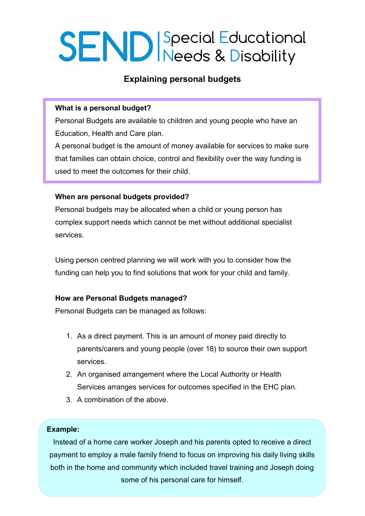# **SEND** Special Educational

# **Explaining personal budgets**

## **What is a personal budget?**

Personal Budgets are available to children and young people who have an Education, Health and Care plan.

A personal budget is the amount of money available for services to make sure that families can obtain choice, control and flexibility over the way funding is used to meet the outcomes for their child.

#### **When are personal budgets provided?**

Personal budgets may be allocated when a child or young person has complex support needs which cannot be met without additional specialist services.

Using person centred planning we will work with you to consider how the funding can help you to find solutions that work for your child and family.

#### **How are Personal Budgets managed?**

Personal Budgets can be managed as follows:

- 1. As a direct payment. This is an amount of money paid directly to parents/carers and young people (over 18) to source their own support services.
- 2. An organised arrangement where the Local Authority or Health Services arranges services for outcomes specified in the EHC plan.
- 3. A combination of the above.

#### **Example:**

Instead of a home care worker Joseph and his parents opted to receive a direct payment to employ a male family friend to focus on improving his daily living skills both in the home and community which included travel training and Joseph doing some of his personal care for himself.